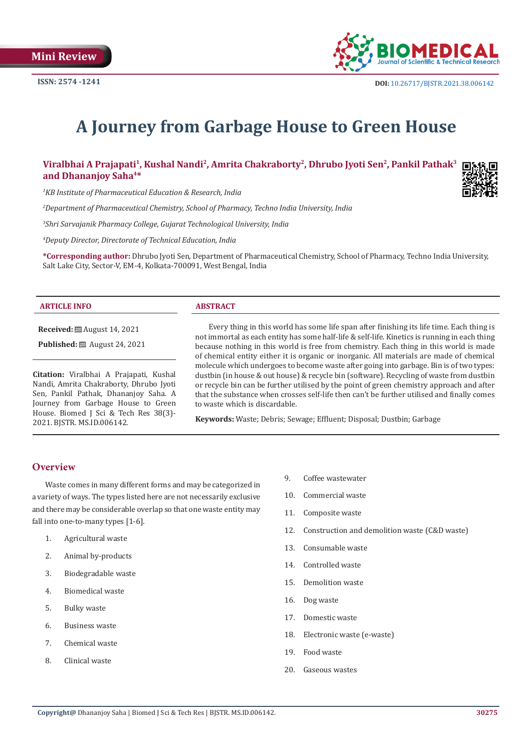

# **A Journey from Garbage House to Green House**

Viralbhai A Prajapati<sup>1</sup>, Kushal Nandi<sup>2</sup>, Amrita Chakraborty<sup>2</sup>, Dhrubo Jyoti Sen<sup>2</sup>, Pankil Pathak<sup>3</sup> **and Dhananjoy Saha4\***

*1 KB Institute of Pharmaceutical Education & Research, India*

*2 Department of Pharmaceutical Chemistry, School of Pharmacy, Techno India University, India*

*3 Shri Sarvajanik Pharmacy College, Gujarat Technological University, India*

*4 Deputy Director, Directorate of Technical Education, India*

**\*Corresponding author:** Dhrubo Jyoti Sen, Department of Pharmaceutical Chemistry, School of Pharmacy, Techno India University, Salt Lake City, Sector-V, EM-4, Kolkata-700091, West Bengal, India

#### **ARTICLE INFO ABSTRACT**

**Received:** ■ August 14, 2021

**Published:** ■ August 24, 2021

**Citation:** Viralbhai A Prajapati, Kushal Nandi, Amrita Chakraborty, Dhrubo Jyoti Sen, Pankil Pathak, Dhananjoy Saha. A Journey from Garbage House to Green House. Biomed J Sci & Tech Res 38(3)- 2021. BJSTR. MS.ID.006142.

Every thing in this world has some life span after finishing its life time. Each thing is not immortal as each entity has some half-life & self-life. Kinetics is running in each thing because nothing in this world is free from chemistry. Each thing in this world is made of chemical entity either it is organic or inorganic. All materials are made of chemical molecule which undergoes to become waste after going into garbage. Bin is of two types: dustbin (in house & out house) & recycle bin (software). Recycling of waste from dustbin or recycle bin can be further utilised by the point of green chemistry approach and after that the substance when crosses self-life then can't be further utilised and finally comes to waste which is discardable.

**Keywords:** Waste; Debris; Sewage; Effluent; Disposal; Dustbin; Garbage

## **Overview**

Waste comes in many different forms and may be categorized in a variety of ways. The types listed here are not necessarily exclusive and there may be considerable overlap so that one waste entity may fall into one-to-many types [1-6].

- 1. Agricultural waste
- 2. Animal by-products
- 3. Biodegradable waste
- 4. Biomedical waste
- 5. Bulky waste
- 6. Business waste
- 7. Chemical waste
- 8. Clinical waste
- 9. Coffee wastewater
- 10. Commercial waste
- 11. Composite waste
- 12. Construction and demolition waste (C&D waste)
- 13. Consumable waste
- 14. Controlled waste
- 15. Demolition waste
- 16. Dog waste
- 17. Domestic waste
- 18. Electronic waste (e-waste)
- 19. Food waste
- 20. Gaseous wastes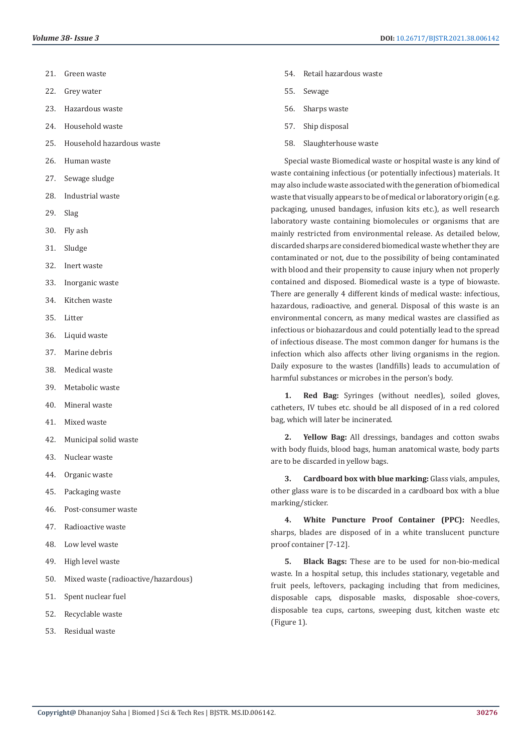- 21. Green waste
- 22. Grey water
- 23. Hazardous waste
- 24. Household waste
- 25. Household hazardous waste
- 26. Human waste
- 27. Sewage sludge
- 28. Industrial waste
- 29. Slag
- 30. Fly ash
- 31. Sludge
- 32. Inert waste
- 33. Inorganic waste
- 34. Kitchen waste
- 35. Litter
- 36. Liquid waste
- 37. Marine debris
- 38. Medical waste
- 39. Metabolic waste
- 40. Mineral waste
- 41. Mixed waste
- 42. Municipal solid waste
- 43. Nuclear waste
- 44. Organic waste
- 45. Packaging waste
- 46. Post-consumer waste
- 47. Radioactive waste
- 48. Low level waste
- 49. High level waste
- 50. Mixed waste (radioactive/hazardous)
- 51. Spent nuclear fuel
- 52. Recyclable waste
- 53. Residual waste
- 54. Retail hazardous waste
- 55. Sewage
- 56. Sharps waste
- 57. Ship disposal
- 58. Slaughterhouse waste

Special waste Biomedical waste or hospital waste is any kind of waste containing infectious (or potentially infectious) materials. It may also include waste associated with the generation of biomedical waste that visually appears to be of medical or laboratory origin (e.g. packaging, unused bandages, infusion kits etc.), as well research laboratory waste containing biomolecules or organisms that are mainly restricted from environmental release. As detailed below, discarded sharps are considered biomedical waste whether they are contaminated or not, due to the possibility of being contaminated with blood and their propensity to cause injury when not properly contained and disposed. Biomedical waste is a type of biowaste. There are generally 4 different kinds of medical waste: infectious, hazardous, radioactive, and general. Disposal of this waste is an environmental concern, as many medical wastes are classified as infectious or biohazardous and could potentially lead to the spread of infectious disease. The most common danger for humans is the infection which also affects other living organisms in the region. Daily exposure to the wastes (landfills) leads to accumulation of harmful substances or microbes in the person's body.

**1. Red Bag:** Syringes (without needles), soiled gloves, catheters, IV tubes etc. should be all disposed of in a red colored bag, which will later be incinerated.

**2. Yellow Bag:** All dressings, bandages and cotton swabs with body fluids, blood bags, human anatomical waste, body parts are to be discarded in yellow bags.

**3. Cardboard box with blue marking:** Glass vials, ampules, other glass ware is to be discarded in a cardboard box with a blue marking/sticker.

**4. White Puncture Proof Container (PPC):** Needles, sharps, blades are disposed of in a white translucent puncture proof container [7-12].

**5. Black Bags:** These are to be used for non-bio-medical waste. In a hospital setup, this includes stationary, vegetable and fruit peels, leftovers, packaging including that from medicines, disposable caps, disposable masks, disposable shoe-covers, disposable tea cups, cartons, sweeping dust, kitchen waste etc (Figure 1).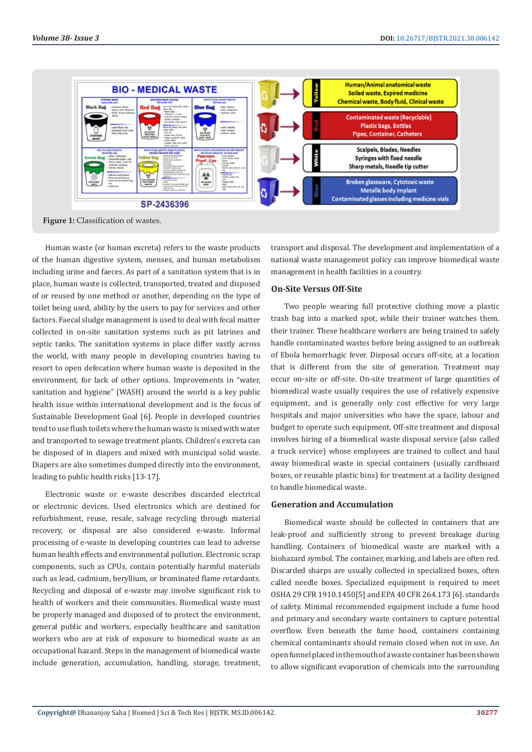

**Figure 1:** Classification of wastes.

Human waste (or human excreta) refers to the waste products of the human digestive system, menses, and human metabolism including urine and faeces. As part of a sanitation system that is in place, human waste is collected, transported, treated and disposed of or reused by one method or another, depending on the type of toilet being used, ability by the users to pay for services and other factors. Faecal sludge management is used to deal with fecal matter collected in on-site sanitation systems such as pit latrines and septic tanks. The sanitation systems in place differ vastly across the world, with many people in developing countries having to resort to open defecation where human waste is deposited in the environment, for lack of other options. Improvements in "water, sanitation and hygiene" (WASH) around the world is a key public health issue within international development and is the focus of Sustainable Development Goal [6]. People in developed countries tend to use flush toilets where the human waste is mixed with water and transported to sewage treatment plants. Children's excreta can be disposed of in diapers and mixed with municipal solid waste. Diapers are also sometimes dumped directly into the environment, leading to public health risks [13-17].

Electronic waste or e-waste describes discarded electrical or electronic devices. Used electronics which are destined for refurbishment, reuse, resale, salvage recycling through material recovery, or disposal are also considered e-waste. Informal processing of e-waste in developing countries can lead to adverse human health effects and environmental pollution. Electronic scrap components, such as CPUs, contain potentially harmful materials such as lead, cadmium, beryllium, or brominated flame retardants. Recycling and disposal of e-waste may involve significant risk to health of workers and their communities. Biomedical waste must be properly managed and disposed of to protect the environment, general public and workers, especially healthcare and sanitation workers who are at risk of exposure to biomedical waste as an occupational hazard. Steps in the management of biomedical waste include generation, accumulation, handling, storage, treatment, transport and disposal. The development and implementation of a national waste management policy can improve biomedical waste management in health facilities in a country.

#### **On-Site Versus Off-Site**

Two people wearing full protective clothing move a plastic trash bag into a marked spot, while their trainer watches them. their trainer. These healthcare workers are being trained to safely handle contaminated wastes before being assigned to an outbreak of Ebola hemorrhagic fever. Disposal occurs off-site, at a location that is different from the site of generation. Treatment may occur on-site or off-site. On-site treatment of large quantities of biomedical waste usually requires the use of relatively expensive equipment, and is generally only cost effective for very large hospitals and major universities who have the space, labour and budget to operate such equipment. Off-site treatment and disposal involves hiring of a biomedical waste disposal service (also called a truck service) whose employees are trained to collect and haul away biomedical waste in special containers (usually cardboard boxes, or reusable plastic bins) for treatment at a facility designed to handle biomedical waste.

### **Generation and Accumulation**

Biomedical waste should be collected in containers that are leak-proof and sufficiently strong to prevent breakage during handling. Containers of biomedical waste are marked with a biohazard symbol. The container, marking, and labels are often red. Discarded sharps are usually collected in specialized boxes, often called needle boxes. Specialized equipment is required to meet OSHA 29 CFR 1910.1450[5] and EPA 40 CFR 264.173 [6]. standards of safety. Minimal recommended equipment include a fume hood and primary and secondary waste containers to capture potential overflow. Even beneath the fume hood, containers containing chemical contaminants should remain closed when not in use. An open funnel placed in the mouth of a waste container has been shown to allow significant evaporation of chemicals into the surrounding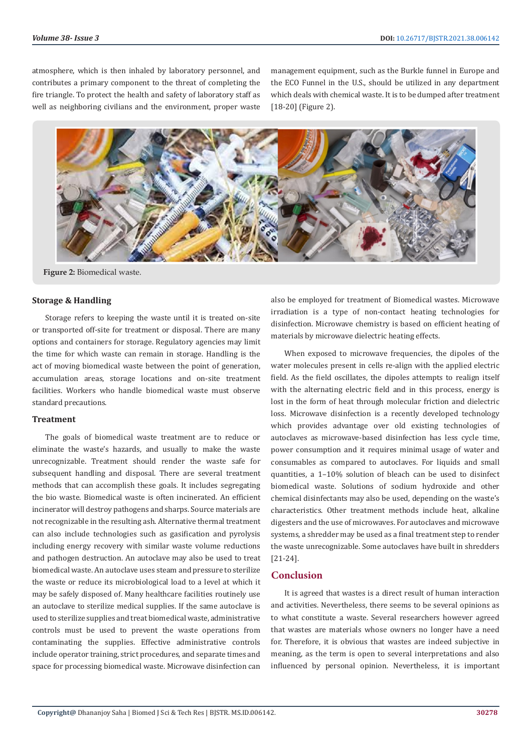atmosphere, which is then inhaled by laboratory personnel, and contributes a primary component to the threat of completing the fire triangle. To protect the health and safety of laboratory staff as well as neighboring civilians and the environment, proper waste management equipment, such as the Burkle funnel in Europe and the ECO Funnel in the U.S., should be utilized in any department which deals with chemical waste. It is to be dumped after treatment [18-20] (Figure 2).



**Figure 2:** Biomedical waste.

#### **Storage & Handling**

Storage refers to keeping the waste until it is treated on-site or transported off-site for treatment or disposal. There are many options and containers for storage. Regulatory agencies may limit the time for which waste can remain in storage. Handling is the act of moving biomedical waste between the point of generation, accumulation areas, storage locations and on-site treatment facilities. Workers who handle biomedical waste must observe standard precautions.

#### **Treatment**

The goals of biomedical waste treatment are to reduce or eliminate the waste's hazards, and usually to make the waste unrecognizable. Treatment should render the waste safe for subsequent handling and disposal. There are several treatment methods that can accomplish these goals. It includes segregating the bio waste. Biomedical waste is often incinerated. An efficient incinerator will destroy pathogens and sharps. Source materials are not recognizable in the resulting ash. Alternative thermal treatment can also include technologies such as gasification and pyrolysis including energy recovery with similar waste volume reductions and pathogen destruction. An autoclave may also be used to treat biomedical waste. An autoclave uses steam and pressure to sterilize the waste or reduce its microbiological load to a level at which it may be safely disposed of. Many healthcare facilities routinely use an autoclave to sterilize medical supplies. If the same autoclave is used to sterilize supplies and treat biomedical waste, administrative controls must be used to prevent the waste operations from contaminating the supplies. Effective administrative controls include operator training, strict procedures, and separate times and space for processing biomedical waste. Microwave disinfection can

also be employed for treatment of Biomedical wastes. Microwave irradiation is a type of non-contact heating technologies for disinfection. Microwave chemistry is based on efficient heating of materials by microwave dielectric heating effects.

When exposed to microwave frequencies, the dipoles of the water molecules present in cells re-align with the applied electric field. As the field oscillates, the dipoles attempts to realign itself with the alternating electric field and in this process, energy is lost in the form of heat through molecular friction and dielectric loss. Microwave disinfection is a recently developed technology which provides advantage over old existing technologies of autoclaves as microwave-based disinfection has less cycle time, power consumption and it requires minimal usage of water and consumables as compared to autoclaves. For liquids and small quantities, a 1–10% solution of bleach can be used to disinfect biomedical waste. Solutions of sodium hydroxide and other chemical disinfectants may also be used, depending on the waste's characteristics. Other treatment methods include heat, alkaline digesters and the use of microwaves. For autoclaves and microwave systems, a shredder may be used as a final treatment step to render the waste unrecognizable. Some autoclaves have built in shredders [21-24].

#### **Conclusion**

It is agreed that wastes is a direct result of human interaction and activities. Nevertheless, there seems to be several opinions as to what constitute a waste. Several researchers however agreed that wastes are materials whose owners no longer have a need for. Therefore, it is obvious that wastes are indeed subjective in meaning, as the term is open to several interpretations and also influenced by personal opinion. Nevertheless, it is important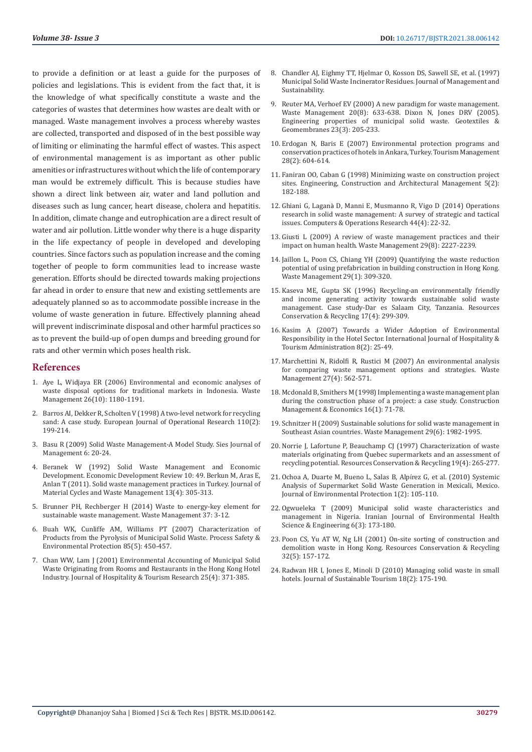to provide a definition or at least a guide for the purposes of policies and legislations. This is evident from the fact that, it is the knowledge of what specifically constitute a waste and the categories of wastes that determines how wastes are dealt with or managed. Waste management involves a process whereby wastes are collected, transported and disposed of in the best possible way of limiting or eliminating the harmful effect of wastes. This aspect of environmental management is as important as other public amenities or infrastructures without which the life of contemporary man would be extremely difficult. This is because studies have shown a direct link between air, water and land pollution and diseases such as lung cancer, heart disease, cholera and hepatitis. In addition, climate change and eutrophication are a direct result of water and air pollution. Little wonder why there is a huge disparity in the life expectancy of people in developed and developing countries. Since factors such as population increase and the coming together of people to form communities lead to increase waste generation. Efforts should be directed towards making projections far ahead in order to ensure that new and existing settlements are adequately planned so as to accommodate possible increase in the volume of waste generation in future. Effectively planning ahead will prevent indiscriminate disposal and other harmful practices so as to prevent the build-up of open dumps and breeding ground for rats and other vermin which poses health risk.

#### **References**

- 1. [Aye L, Widjaya ER \(2006\) Environmental and economic analyses of](https://pubmed.ncbi.nlm.nih.gov/16288859/)  [waste disposal options for traditional markets in Indonesia. Waste](https://pubmed.ncbi.nlm.nih.gov/16288859/)  [Management 26\(10\): 1180-1191.](https://pubmed.ncbi.nlm.nih.gov/16288859/)
- 2. [Barros AI, Dekker R, Scholten V \(1998\) A two-level network for recycling](https://www.sciencedirect.com/science/article/abs/pii/S0377221798000939)  [sand: A case study. European Journal of Operational Research 110\(2\):](https://www.sciencedirect.com/science/article/abs/pii/S0377221798000939)  [199-214.](https://www.sciencedirect.com/science/article/abs/pii/S0377221798000939)
- 3. Basu R (2009) Solid Waste Management-A Model Study. Sies Journal of Management 6: 20-24.
- 4. [Beranek W \(1992\) Solid Waste Management and Economic](https://www.researchgate.net/publication/257485832_Solid_Waste_Management_Practices_in_Turkey)  [Development. Economic Development Review 10: 49. Berkun M, Aras E,](https://www.researchgate.net/publication/257485832_Solid_Waste_Management_Practices_in_Turkey)  [Anlan T \(2011\). Solid waste management practices in Turkey. Journal of](https://www.researchgate.net/publication/257485832_Solid_Waste_Management_Practices_in_Turkey)  [Material Cycles and Waste Management 13\(4\): 305-313.](https://www.researchgate.net/publication/257485832_Solid_Waste_Management_Practices_in_Turkey)
- 5. Brunner PH, Rechberger H (2014) Waste to energy-key element for sustainable waste management. Waste Management 37: 3-12.
- 6. [Buah WK, Cunliffe AM, Williams PT \(2007\) Characterization of](https://www.sciencedirect.com/science/article/abs/pii/S0957582007714489)  [Products from the Pyrolysis of Municipal Solid Waste. Process Safety &](https://www.sciencedirect.com/science/article/abs/pii/S0957582007714489)  [Environmental Protection 85\(5\): 450-457.](https://www.sciencedirect.com/science/article/abs/pii/S0957582007714489)
- 7. [Chan WW, Lam J \(2001\) Environmental Accounting of Municipal Solid](https://www.researchgate.net/publication/247753563_Environmental_Accounting_of_Municipal_Solid_Waste_Originating_from_Rooms_and_Restaurants_in_the_Hong_Kong_Hotel_Industry)  [Waste Originating from Rooms and Restaurants in the Hong Kong Hotel](https://www.researchgate.net/publication/247753563_Environmental_Accounting_of_Municipal_Solid_Waste_Originating_from_Rooms_and_Restaurants_in_the_Hong_Kong_Hotel_Industry)  [Industry. Journal of Hospitality & Tourism Research 25\(4\): 371-385.](https://www.researchgate.net/publication/247753563_Environmental_Accounting_of_Municipal_Solid_Waste_Originating_from_Rooms_and_Restaurants_in_the_Hong_Kong_Hotel_Industry)
- 8. [Chandler AJ, Eighmy TT, Hjelmar O, Kosson DS, Sawell SE, et al. \(1997\)](https://www.elsevier.com/books/municipal-solid-waste-incinerator-residues/chandler/978-0-444-82563-6) [Municipal Solid Waste Incinerator Residues. Journal of Management and](https://www.elsevier.com/books/municipal-solid-waste-incinerator-residues/chandler/978-0-444-82563-6) [Sustainability.](https://www.elsevier.com/books/municipal-solid-waste-incinerator-residues/chandler/978-0-444-82563-6)
- 9. Reuter MA, Verhoef EV (2000) A new paradigm for waste management. Waste Management 20(8): 633-638. Dixon N, Jones DRV (2005). Engineering properties of municipal solid waste. Geotextiles & Geomembranes 23(3): 205-233.
- 10. [Erdogan N, Baris E \(2007\) Environmental protection programs and](https://www.sciencedirect.com/science/article/abs/pii/S0261517706001312) [conservation practices of hotels in Ankara, Turkey. Tourism Management](https://www.sciencedirect.com/science/article/abs/pii/S0261517706001312) [28\(2\): 604-614.](https://www.sciencedirect.com/science/article/abs/pii/S0261517706001312)
- 11. [Faniran OO, Caban G \(1998\) Minimizing waste on construction project](https://www.emerald.com/insight/content/doi/10.1108/eb021073/full/html?skipTracking=true) [sites. Engineering, Construction and Architectural Management 5\(2\):](https://www.emerald.com/insight/content/doi/10.1108/eb021073/full/html?skipTracking=true) [182-188.](https://www.emerald.com/insight/content/doi/10.1108/eb021073/full/html?skipTracking=true)
- 12. Ghiani G, Laganà [D, Manni E, Musmanno R, Vigo D \(2014\) Operations](https://www.sciencedirect.com/science/article/abs/pii/S0305054813003018) [research in solid waste management: A survey of strategic and tactical](https://www.sciencedirect.com/science/article/abs/pii/S0305054813003018) [issues. Computers & Operations Research 44\(4\): 22-32.](https://www.sciencedirect.com/science/article/abs/pii/S0305054813003018)
- 13. [Giusti L \(2009\) A review of waste management practices and their](https://pubmed.ncbi.nlm.nih.gov/19401266/) [impact on human health. Waste Management 29\(8\): 2227-2239.](https://pubmed.ncbi.nlm.nih.gov/19401266/)
- 14. [Jaillon L, Poon CS, Chiang YH \(2009\) Quantifying the waste reduction](https://pubmed.ncbi.nlm.nih.gov/18434128/) [potential of using prefabrication in building construction in Hong Kong.](https://pubmed.ncbi.nlm.nih.gov/18434128/) [Waste Management 29\(1\): 309-320.](https://pubmed.ncbi.nlm.nih.gov/18434128/)
- 15. Kaseva ME, Gupta SK (1996) Recycling-an environmentally friendly and income generating activity towards sustainable solid waste management. Case study-Dar es Salaam City, Tanzania. Resources Conservation & Recycling 17(4): 299-309.
- 16. [Kasim A \(2007\) Towards a Wider Adoption of Environmental](https://www.researchgate.net/publication/254369148_Towards_a_Wider_Adoption_of_Environmental_Responsibility_in_the_Hotel_Sector) [Responsibility in the Hotel Sector. International Journal of Hospitality &](https://www.researchgate.net/publication/254369148_Towards_a_Wider_Adoption_of_Environmental_Responsibility_in_the_Hotel_Sector) [Tourism Administration 8\(2\): 25-49.](https://www.researchgate.net/publication/254369148_Towards_a_Wider_Adoption_of_Environmental_Responsibility_in_the_Hotel_Sector)
- 17. [Marchettini N, Ridolfi R, Rustici M \(2007\) An environmental analysis](https://pubmed.ncbi.nlm.nih.gov/16765586/) [for comparing waste management options and strategies. Waste](https://pubmed.ncbi.nlm.nih.gov/16765586/) [Management 27\(4\): 562-571.](https://pubmed.ncbi.nlm.nih.gov/16765586/)
- 18. Mcdonald B, Smithers M (1998) Implementing a waste management plan during the construction phase of a project: a case study. Construction Management & Economics 16(1): 71-78.
- 19. [Schnitzer H \(2009\) Sustainable solutions for solid waste management in](https://pubmed.ncbi.nlm.nih.gov/19285384/) [Southeast Asian countries. Waste Management 29\(6\): 1982-1995.](https://pubmed.ncbi.nlm.nih.gov/19285384/)
- 20. [Norrie J, Lafortune P, Beauchamp CJ \(1997\) Characterization of waste](https://www.sciencedirect.com/science/article/abs/pii/S0921344996011925) [materials originating from Quebec supermarkets and an assessment of](https://www.sciencedirect.com/science/article/abs/pii/S0921344996011925) [recycling potential. Resources Conservation & Recycling 19\(4\): 265-277.](https://www.sciencedirect.com/science/article/abs/pii/S0921344996011925)
- 21. [Ochoa A, Duarte M, Bueno L, Salas B, Alp](https://www.researchgate.net/publication/228768386_Systemic_Analysis_of_Supermarket_Solid_Waste_Generation_in_Mexicali_Mexico)írez G, et al. (2010) Systemic [Analysis of Supermarket Solid Waste Generation in Mexicali, Mexico.](https://www.researchgate.net/publication/228768386_Systemic_Analysis_of_Supermarket_Solid_Waste_Generation_in_Mexicali_Mexico) [Journal of Environmental Protection 1\(2\): 105-110.](https://www.researchgate.net/publication/228768386_Systemic_Analysis_of_Supermarket_Solid_Waste_Generation_in_Mexicali_Mexico)
- 22. [Ogwueleka T \(2009\) Municipal solid waste characteristics and](https://ijehse.tums.ac.ir/index.php/jehse/article/view/209) [management in Nigeria. Iranian Journal of Environmental Health](https://ijehse.tums.ac.ir/index.php/jehse/article/view/209) [Science & Engineering 6\(3\): 173-180.](https://ijehse.tums.ac.ir/index.php/jehse/article/view/209)
- 23. [Poon CS, Yu AT W, Ng LH \(2001\) On-site sorting of construction and](https://www.sciencedirect.com/science/article/abs/pii/S0921344901000520) [demolition waste in Hong Kong. Resources Conservation & Recycling](https://www.sciencedirect.com/science/article/abs/pii/S0921344901000520) [32\(5\): 157-172.](https://www.sciencedirect.com/science/article/abs/pii/S0921344901000520)
- 24. [Radwan HR I, Jones E, Minoli D \(2010\) Managing solid waste in small](https://www.tandfonline.com/doi/abs/10.1080/09669580903373946) [hotels. Journal of Sustainable Tourism 18\(2\): 175-190.](https://www.tandfonline.com/doi/abs/10.1080/09669580903373946)